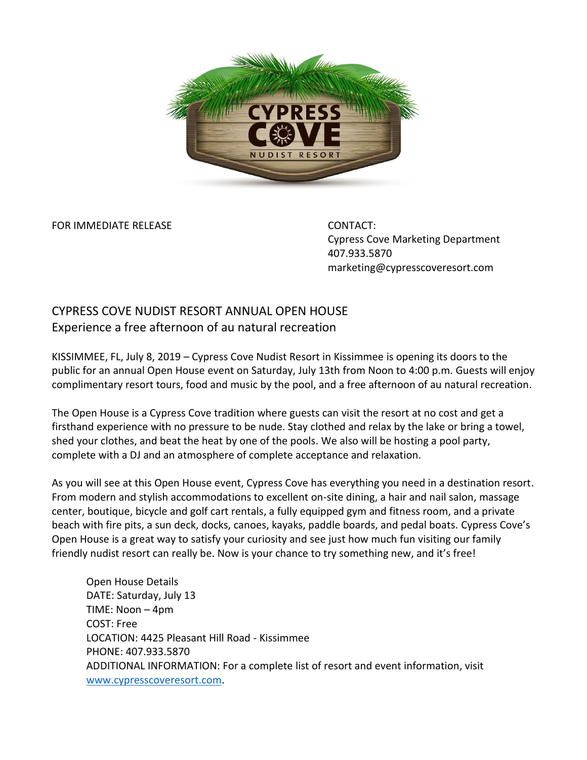

FOR IMMEDIATE RELEASE CONTACT:

Cypress Cove Marketing Department 407.933.5870 marketing@cypresscoveresort.com

## CYPRESS COVE NUDIST RESORT ANNUAL OPEN HOUSE Experience a free afternoon of au natural recreation

KISSIMMEE, FL, July 8, 2019 – Cypress Cove Nudist Resort in Kissimmee is opening its doors to the public for an annual Open House event on Saturday, July 13th from Noon to 4:00 p.m. Guests will enjoy complimentary resort tours, food and music by the pool, and a free afternoon of au natural recreation.

The Open House is a Cypress Cove tradition where guests can visit the resort at no cost and get a firsthand experience with no pressure to be nude. Stay clothed and relax by the lake or bring a towel, shed your clothes, and beat the heat by one of the pools. We also will be hosting a pool party, complete with a DJ and an atmosphere of complete acceptance and relaxation.

As you will see at this Open House event, Cypress Cove has everything you need in a destination resort. From modern and stylish accommodations to excellent on-site dining, a hair and nail salon, massage center, boutique, bicycle and golf cart rentals, a fully equipped gym and fitness room, and a private beach with fire pits, a sun deck, docks, canoes, kayaks, paddle boards, and pedal boats. Cypress Cove's Open House is a great way to satisfy your curiosity and see just how much fun visiting our family friendly nudist resort can really be. Now is your chance to try something new, and it's free!

Open House Details DATE: Saturday, July 13 TIME: Noon – 4pm COST: Free LOCATION: 4425 Pleasant Hill Road - Kissimmee PHONE: 407.933.5870 ADDITIONAL INFORMATION: For a complete list of resort and event information, visit [www.cypresscoveresort.com.](file://///COVE-INNTIME/RDPNT/Marketing/Public%20Relations/Press%20Releases/www.cypresscoveresort.com)